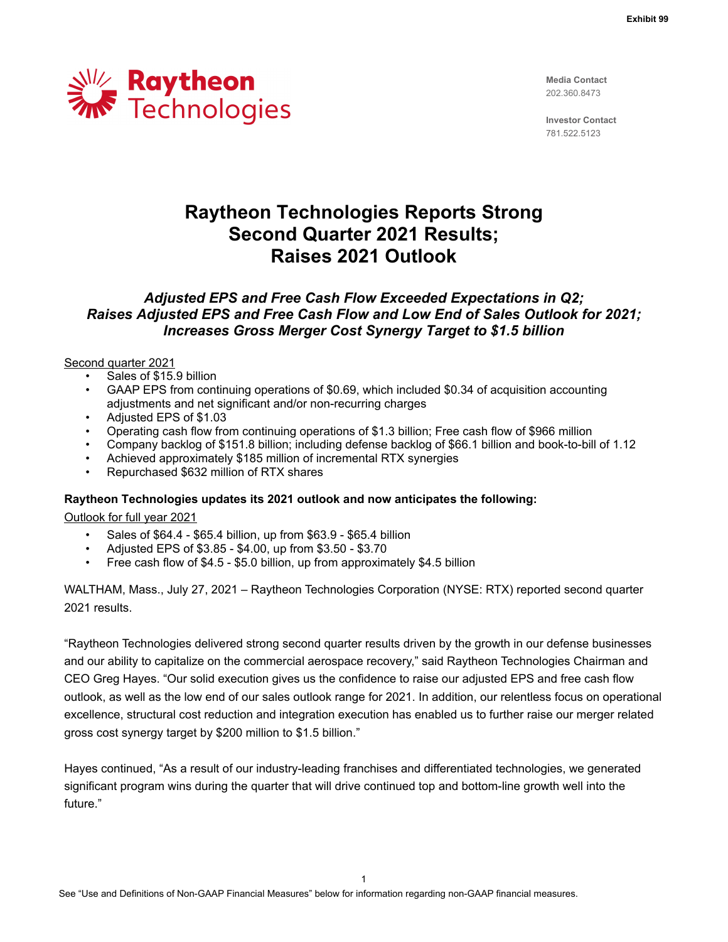

**Media Contact** 202.360.8473

**Investor Contact** 781.522.5123

# **Raytheon Technologies Reports Strong Second Quarter 2021 Results; Raises 2021 Outlook**

## *Adjusted EPS and Free Cash Flow Exceeded Expectations in Q2; Raises Adjusted EPS and Free Cash Flow and Low End of Sales Outlook for 2021; Increases Gross Merger Cost Synergy Target to \$1.5 billion*

## Second quarter 2021

- Sales of \$15.9 billion
- GAAP EPS from continuing operations of \$0.69, which included \$0.34 of acquisition accounting adjustments and net significant and/or non-recurring charges
- Adjusted EPS of \$1.03
- Operating cash flow from continuing operations of \$1.3 billion; Free cash flow of \$966 million
- Company backlog of \$151.8 billion; including defense backlog of \$66.1 billion and book-to-bill of 1.12
- Achieved approximately \$185 million of incremental RTX synergies
- Repurchased \$632 million of RTX shares

## **Raytheon Technologies updates its 2021 outlook and now anticipates the following:**

Outlook for full year 2021

- Sales of \$64.4 \$65.4 billion, up from \$63.9 \$65.4 billion
- Adjusted EPS of \$3.85 \$4.00, up from \$3.50 \$3.70
- Free cash flow of \$4.5 \$5.0 billion, up from approximately \$4.5 billion

WALTHAM, Mass., July 27, 2021 – Raytheon Technologies Corporation (NYSE: RTX) reported second quarter 2021 results.

"Raytheon Technologies delivered strong second quarter results driven by the growth in our defense businesses and our ability to capitalize on the commercial aerospace recovery," said Raytheon Technologies Chairman and CEO Greg Hayes. "Our solid execution gives us the confidence to raise our adjusted EPS and free cash flow outlook, as well as the low end of our sales outlook range for 2021. In addition, our relentless focus on operational excellence, structural cost reduction and integration execution has enabled us to further raise our merger related gross cost synergy target by \$200 million to \$1.5 billion."

Hayes continued, "As a result of our industry-leading franchises and differentiated technologies, we generated significant program wins during the quarter that will drive continued top and bottom-line growth well into the future."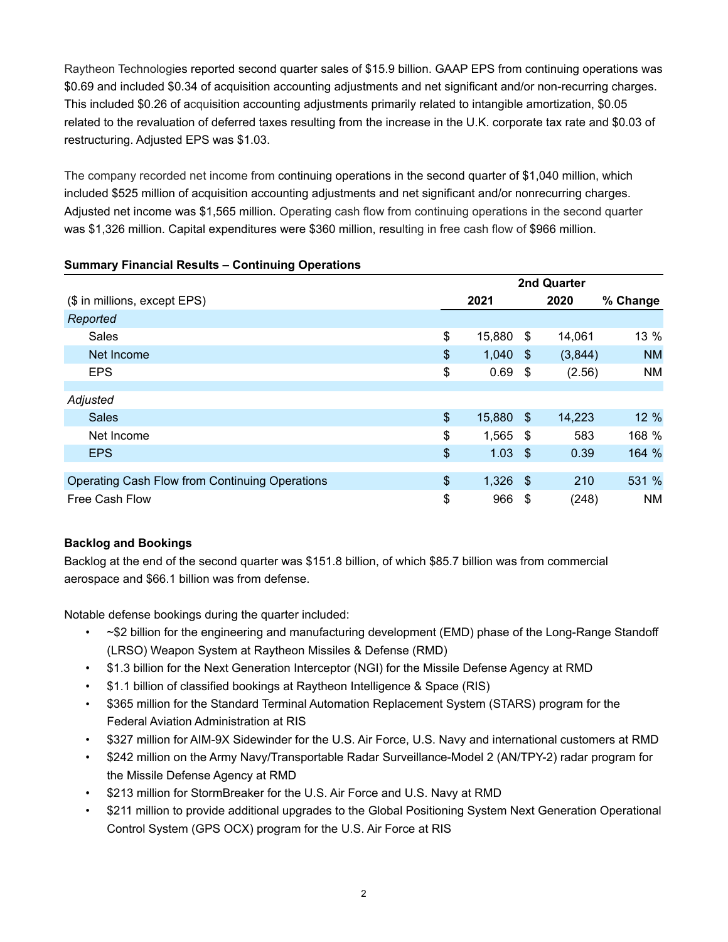Raytheon Technologies reported second quarter sales of \$15.9 billion. GAAP EPS from continuing operations was \$0.69 and included \$0.34 of acquisition accounting adjustments and net significant and/or non-recurring charges. This included \$0.26 of acquisition accounting adjustments primarily related to intangible amortization, \$0.05 related to the revaluation of deferred taxes resulting from the increase in the U.K. corporate tax rate and \$0.03 of restructuring. Adjusted EPS was \$1.03.

The company recorded net income from continuing operations in the second quarter of \$1,040 million, which included \$525 million of acquisition accounting adjustments and net significant and/or nonrecurring charges. Adjusted net income was \$1,565 million. Operating cash flow from continuing operations in the second quarter was \$1,326 million. Capital expenditures were \$360 million, resulting in free cash flow of \$966 million.

| ັ                                              |             |        |            |         |           |  |  |  |
|------------------------------------------------|-------------|--------|------------|---------|-----------|--|--|--|
|                                                | 2nd Quarter |        |            |         |           |  |  |  |
| (\$ in millions, except EPS)                   |             | 2021   |            | 2020    | % Change  |  |  |  |
| Reported                                       |             |        |            |         |           |  |  |  |
| Sales                                          | \$          | 15,880 | -\$        | 14,061  | 13 %      |  |  |  |
| Net Income                                     | $\$\$       | 1,040  | -\$        | (3,844) | <b>NM</b> |  |  |  |
| <b>EPS</b>                                     | \$          | 0.69   | - \$       | (2.56)  | <b>NM</b> |  |  |  |
|                                                |             |        |            |         |           |  |  |  |
| Adjusted                                       |             |        |            |         |           |  |  |  |
| <b>Sales</b>                                   | $\$\$       | 15,880 | - \$       | 14,223  | 12 %      |  |  |  |
| Net Income                                     | \$          | 1,565  | - \$       | 583     | 168 %     |  |  |  |
| <b>EPS</b>                                     | \$          | 1.03   | $\sqrt{3}$ | 0.39    | 164 %     |  |  |  |
|                                                |             |        |            |         |           |  |  |  |
| Operating Cash Flow from Continuing Operations | \$          | 1,326  | - \$       | 210     | 531 %     |  |  |  |
| Free Cash Flow                                 | \$          | 966    | -\$        | (248)   | <b>NM</b> |  |  |  |

## **Summary Financial Results – Continuing Operations**

## **Backlog and Bookings**

Backlog at the end of the second quarter was \$151.8 billion, of which \$85.7 billion was from commercial aerospace and \$66.1 billion was from defense.

Notable defense bookings during the quarter included:

- ~\$2 billion for the engineering and manufacturing development (EMD) phase of the Long-Range Standoff (LRSO) Weapon System at Raytheon Missiles & Defense (RMD)
- \$1.3 billion for the Next Generation Interceptor (NGI) for the Missile Defense Agency at RMD
- \$1.1 billion of classified bookings at Raytheon Intelligence & Space (RIS)
- \$365 million for the Standard Terminal Automation Replacement System (STARS) program for the Federal Aviation Administration at RIS
- \$327 million for AIM-9X Sidewinder for the U.S. Air Force, U.S. Navy and international customers at RMD
- \$242 million on the Army Navy/Transportable Radar Surveillance-Model 2 (AN/TPY-2) radar program for the Missile Defense Agency at RMD
- \$213 million for StormBreaker for the U.S. Air Force and U.S. Navy at RMD
- \$211 million to provide additional upgrades to the Global Positioning System Next Generation Operational Control System (GPS OCX) program for the U.S. Air Force at RIS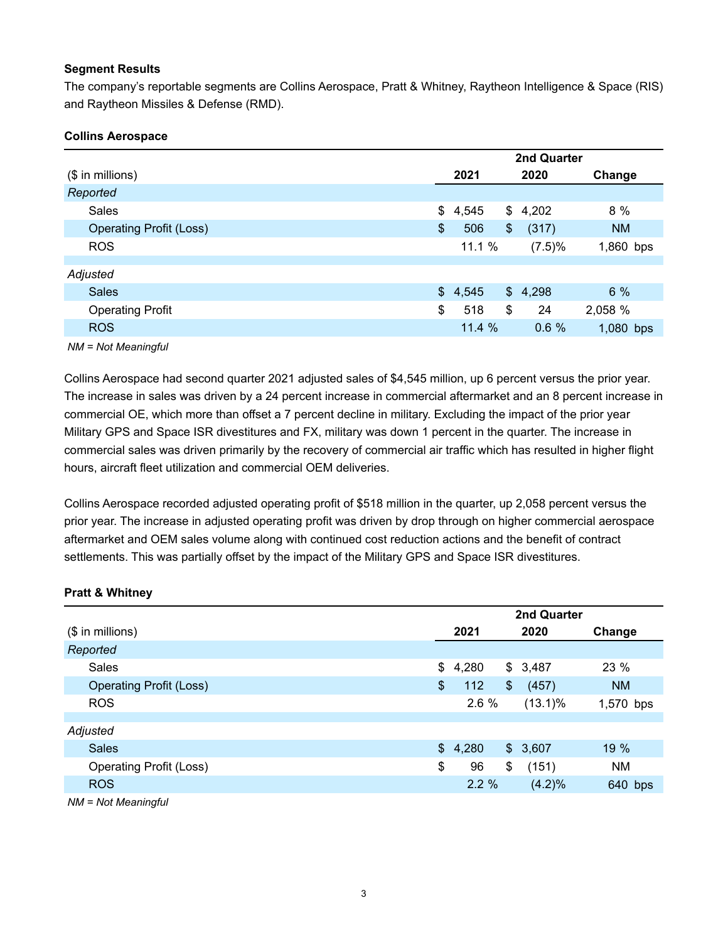## **Segment Results**

The company's reportable segments are Collins Aerospace, Pratt & Whitney, Raytheon Intelligence & Space (RIS) and Raytheon Missiles & Defense (RMD).

## **Collins Aerospace**

|                                | <b>2nd Quarter</b> |         |    |         |           |  |  |  |  |  |
|--------------------------------|--------------------|---------|----|---------|-----------|--|--|--|--|--|
| $($$ in millions)              |                    | 2021    |    | 2020    | Change    |  |  |  |  |  |
| Reported                       |                    |         |    |         |           |  |  |  |  |  |
| Sales                          | \$                 | 4,545   |    | \$4,202 | 8 %       |  |  |  |  |  |
| <b>Operating Profit (Loss)</b> | \$                 | 506     | \$ | (317)   | <b>NM</b> |  |  |  |  |  |
| <b>ROS</b>                     |                    | 11.1 %  |    | (7.5)%  | 1,860 bps |  |  |  |  |  |
|                                |                    |         |    |         |           |  |  |  |  |  |
| Adjusted                       |                    |         |    |         |           |  |  |  |  |  |
| <b>Sales</b>                   |                    | \$4,545 |    | \$4,298 | 6%        |  |  |  |  |  |
| <b>Operating Profit</b>        | \$                 | 518     | \$ | 24      | 2,058 %   |  |  |  |  |  |
| <b>ROS</b>                     |                    | 11.4 %  |    | 0.6%    | 1,080 bps |  |  |  |  |  |
|                                |                    |         |    |         |           |  |  |  |  |  |

*NM = Not Meaningful*

Collins Aerospace had second quarter 2021 adjusted sales of \$4,545 million, up 6 percent versus the prior year. The increase in sales was driven by a 24 percent increase in commercial aftermarket and an 8 percent increase in commercial OE, which more than offset a 7 percent decline in military. Excluding the impact of the prior year Military GPS and Space ISR divestitures and FX, military was down 1 percent in the quarter. The increase in commercial sales was driven primarily by the recovery of commercial air traffic which has resulted in higher flight hours, aircraft fleet utilization and commercial OEM deliveries.

Collins Aerospace recorded adjusted operating profit of \$518 million in the quarter, up 2,058 percent versus the prior year. The increase in adjusted operating profit was driven by drop through on higher commercial aerospace aftermarket and OEM sales volume along with continued cost reduction actions and the benefit of contract settlements. This was partially offset by the impact of the Military GPS and Space ISR divestitures.

## **Pratt & Whitney**

|                                | 2nd Quarter |       |            |           |  |  |  |  |  |  |
|--------------------------------|-------------|-------|------------|-----------|--|--|--|--|--|--|
| $($$ in millions)              | 2021        |       | 2020       | Change    |  |  |  |  |  |  |
| Reported                       |             |       |            |           |  |  |  |  |  |  |
| Sales                          | \$<br>4,280 |       | \$3,487    | 23 %      |  |  |  |  |  |  |
| <b>Operating Profit (Loss)</b> | \$<br>112   | $\$\$ | (457)      | <b>NM</b> |  |  |  |  |  |  |
| <b>ROS</b>                     | 2.6 %       |       | $(13.1)\%$ | 1,570 bps |  |  |  |  |  |  |
|                                |             |       |            |           |  |  |  |  |  |  |
| Adjusted                       |             |       |            |           |  |  |  |  |  |  |
| <b>Sales</b>                   | \$4,280     |       | \$3,607    | 19 %      |  |  |  |  |  |  |
| <b>Operating Profit (Loss)</b> | \$<br>96    | \$    | (151)      | <b>NM</b> |  |  |  |  |  |  |
| <b>ROS</b>                     | 2.2%        |       | (4.2)%     | 640 bps   |  |  |  |  |  |  |
|                                |             |       |            |           |  |  |  |  |  |  |

*NM = Not Meaningful*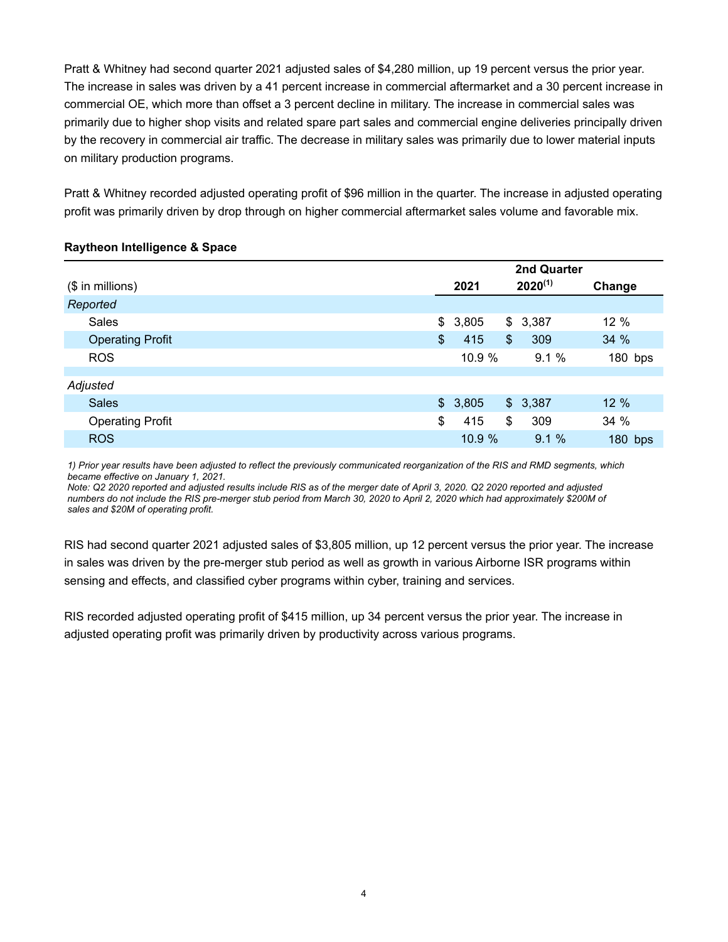Pratt & Whitney had second quarter 2021 adjusted sales of \$4,280 million, up 19 percent versus the prior year. The increase in sales was driven by a 41 percent increase in commercial aftermarket and a 30 percent increase in commercial OE, which more than offset a 3 percent decline in military. The increase in commercial sales was primarily due to higher shop visits and related spare part sales and commercial engine deliveries principally driven by the recovery in commercial air traffic. The decrease in military sales was primarily due to lower material inputs on military production programs.

Pratt & Whitney recorded adjusted operating profit of \$96 million in the quarter. The increase in adjusted operating profit was primarily driven by drop through on higher commercial aftermarket sales volume and favorable mix.

## **Raytheon Intelligence & Space**

|                         | 2nd Quarter   |                                |                           |         |           |  |  |  |
|-------------------------|---------------|--------------------------------|---------------------------|---------|-----------|--|--|--|
| $($$ in millions)       |               | $2020^{(1)}$<br>2021<br>Change |                           |         |           |  |  |  |
| Reported                |               |                                |                           |         |           |  |  |  |
| <b>Sales</b>            | $\mathcal{S}$ | 3,805                          | \$                        | 3,387   | 12 %      |  |  |  |
| <b>Operating Profit</b> | \$            | 415                            | $\boldsymbol{\mathsf{S}}$ | 309     | 34%       |  |  |  |
| <b>ROS</b>              |               | 10.9 %                         |                           | 9.1%    | $180$ bps |  |  |  |
|                         |               |                                |                           |         |           |  |  |  |
| Adjusted                |               |                                |                           |         |           |  |  |  |
| <b>Sales</b>            |               | \$3,805                        |                           | \$3,387 | 12 %      |  |  |  |
| <b>Operating Profit</b> | \$            | 415                            | \$                        | 309     | 34 %      |  |  |  |
| <b>ROS</b>              |               | 10.9 %                         |                           | 9.1%    | 180 bps   |  |  |  |

*1) Prior year results have been adjusted to reflect the previously communicated reorganization of the RIS and RMD segments, which became effective on January 1, 2021.*

*Note: Q2 2020 reported and adjusted results include RIS as of the merger date of April 3, 2020. Q2 2020 reported and adjusted numbers do not include the RIS pre-merger stub period from March 30, 2020 to April 2, 2020 which had approximately \$200M of sales and \$20M of operating profit.* 

RIS had second quarter 2021 adjusted sales of \$3,805 million, up 12 percent versus the prior year. The increase in sales was driven by the pre-merger stub period as well as growth in various Airborne ISR programs within sensing and effects, and classified cyber programs within cyber, training and services.

RIS recorded adjusted operating profit of \$415 million, up 34 percent versus the prior year. The increase in adjusted operating profit was primarily driven by productivity across various programs.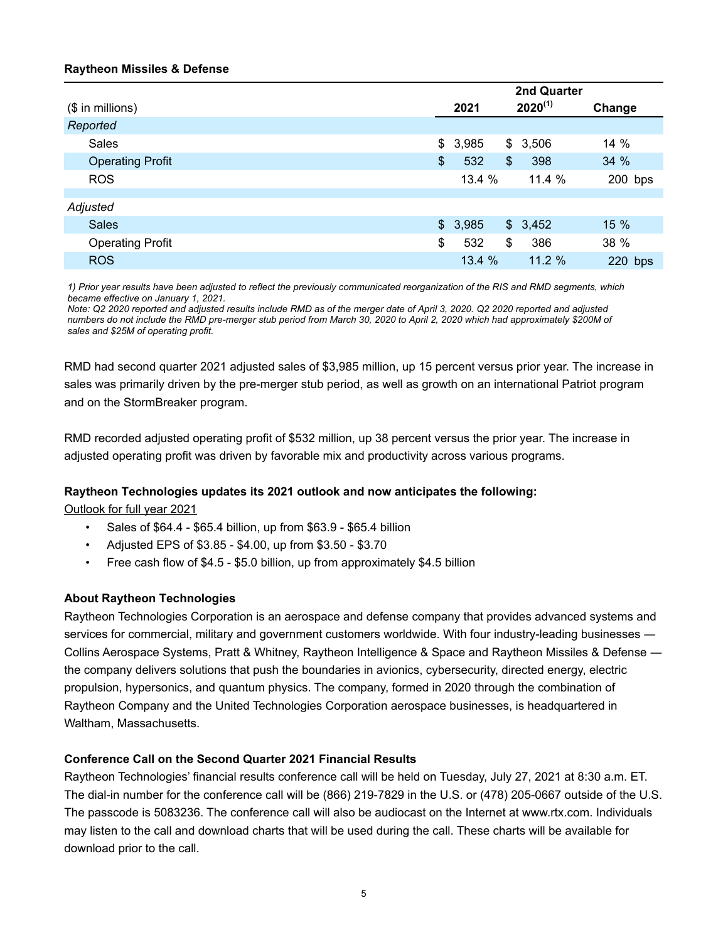## **Raytheon Missiles & Defense**

|                         | 2nd Quarter |         |    |              |           |  |  |  |
|-------------------------|-------------|---------|----|--------------|-----------|--|--|--|
| $$$ in millions)        | 2021        |         |    | $2020^{(1)}$ | Change    |  |  |  |
| Reported                |             |         |    |              |           |  |  |  |
| Sales                   | \$          | 3,985   | \$ | 3,506        | 14 %      |  |  |  |
| <b>Operating Profit</b> | \$          | 532     | \$ | 398          | 34 %      |  |  |  |
| <b>ROS</b>              |             | 13.4 %  |    | 11.4 %       | $200$ bps |  |  |  |
|                         |             |         |    |              |           |  |  |  |
| Adjusted                |             |         |    |              |           |  |  |  |
| <b>Sales</b>            |             | \$3,985 |    | \$3,452      | 15 %      |  |  |  |
| <b>Operating Profit</b> | \$          | 532     | \$ | 386          | 38 %      |  |  |  |
| <b>ROS</b>              |             | 13.4%   |    | 11.2%        | 220 bps   |  |  |  |

*1) Prior year results have been adjusted to reflect the previously communicated reorganization of the RIS and RMD segments, which became effective on January 1, 2021.*

*Note: Q2 2020 reported and adjusted results include RMD as of the merger date of April 3, 2020. Q2 2020 reported and adjusted numbers do not include the RMD pre-merger stub period from March 30, 2020 to April 2, 2020 which had approximately \$200M of sales and \$25M of operating profit.* 

RMD had second quarter 2021 adjusted sales of \$3,985 million, up 15 percent versus prior year. The increase in sales was primarily driven by the pre-merger stub period, as well as growth on an international Patriot program and on the StormBreaker program.

RMD recorded adjusted operating profit of \$532 million, up 38 percent versus the prior year. The increase in adjusted operating profit was driven by favorable mix and productivity across various programs.

## **Raytheon Technologies updates its 2021 outlook and now anticipates the following:**

Outlook for full year 2021

- Sales of \$64.4 \$65.4 billion, up from \$63.9 \$65.4 billion
- Adjusted EPS of \$3.85 \$4.00, up from \$3.50 \$3.70
- Free cash flow of \$4.5 \$5.0 billion, up from approximately \$4.5 billion

## **About Raytheon Technologies**

Raytheon Technologies Corporation is an aerospace and defense company that provides advanced systems and services for commercial, military and government customers worldwide. With four industry-leading businesses ― Collins Aerospace Systems, Pratt & Whitney, Raytheon Intelligence & Space and Raytheon Missiles & Defense ― the company delivers solutions that push the boundaries in avionics, cybersecurity, directed energy, electric propulsion, hypersonics, and quantum physics. The company, formed in 2020 through the combination of Raytheon Company and the United Technologies Corporation aerospace businesses, is headquartered in Waltham, Massachusetts.

## **Conference Call on the Second Quarter 2021 Financial Results**

Raytheon Technologies' financial results conference call will be held on Tuesday, July 27, 2021 at 8:30 a.m. ET. The dial-in number for the conference call will be (866) 219-7829 in the U.S. or (478) 205-0667 outside of the U.S. The passcode is 5083236. The conference call will also be audiocast on the Internet at www.rtx.com. Individuals may listen to the call and download charts that will be used during the call. These charts will be available for download prior to the call.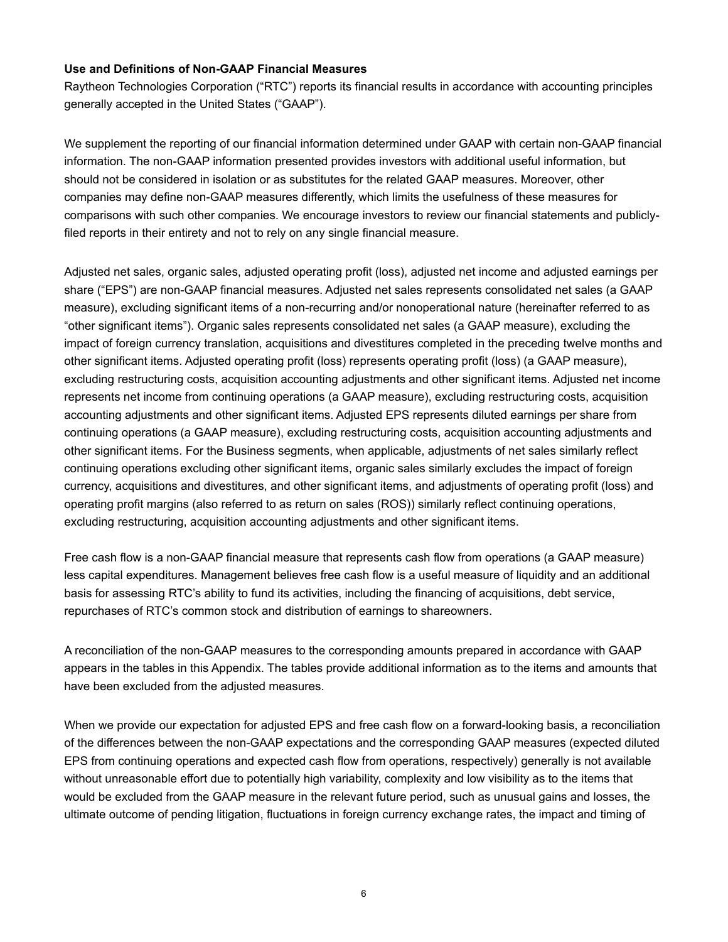## **Use and Definitions of Non-GAAP Financial Measures**

Raytheon Technologies Corporation ("RTC") reports its financial results in accordance with accounting principles generally accepted in the United States ("GAAP").

We supplement the reporting of our financial information determined under GAAP with certain non-GAAP financial information. The non-GAAP information presented provides investors with additional useful information, but should not be considered in isolation or as substitutes for the related GAAP measures. Moreover, other companies may define non-GAAP measures differently, which limits the usefulness of these measures for comparisons with such other companies. We encourage investors to review our financial statements and publiclyfiled reports in their entirety and not to rely on any single financial measure.

Adjusted net sales, organic sales, adjusted operating profit (loss), adjusted net income and adjusted earnings per share ("EPS") are non-GAAP financial measures. Adjusted net sales represents consolidated net sales (a GAAP measure), excluding significant items of a non-recurring and/or nonoperational nature (hereinafter referred to as "other significant items"). Organic sales represents consolidated net sales (a GAAP measure), excluding the impact of foreign currency translation, acquisitions and divestitures completed in the preceding twelve months and other significant items. Adjusted operating profit (loss) represents operating profit (loss) (a GAAP measure), excluding restructuring costs, acquisition accounting adjustments and other significant items. Adjusted net income represents net income from continuing operations (a GAAP measure), excluding restructuring costs, acquisition accounting adjustments and other significant items. Adjusted EPS represents diluted earnings per share from continuing operations (a GAAP measure), excluding restructuring costs, acquisition accounting adjustments and other significant items. For the Business segments, when applicable, adjustments of net sales similarly reflect continuing operations excluding other significant items, organic sales similarly excludes the impact of foreign currency, acquisitions and divestitures, and other significant items, and adjustments of operating profit (loss) and operating profit margins (also referred to as return on sales (ROS)) similarly reflect continuing operations, excluding restructuring, acquisition accounting adjustments and other significant items.

Free cash flow is a non-GAAP financial measure that represents cash flow from operations (a GAAP measure) less capital expenditures. Management believes free cash flow is a useful measure of liquidity and an additional basis for assessing RTC's ability to fund its activities, including the financing of acquisitions, debt service, repurchases of RTC's common stock and distribution of earnings to shareowners.

A reconciliation of the non-GAAP measures to the corresponding amounts prepared in accordance with GAAP appears in the tables in this Appendix. The tables provide additional information as to the items and amounts that have been excluded from the adjusted measures.

When we provide our expectation for adjusted EPS and free cash flow on a forward-looking basis, a reconciliation of the differences between the non-GAAP expectations and the corresponding GAAP measures (expected diluted EPS from continuing operations and expected cash flow from operations, respectively) generally is not available without unreasonable effort due to potentially high variability, complexity and low visibility as to the items that would be excluded from the GAAP measure in the relevant future period, such as unusual gains and losses, the ultimate outcome of pending litigation, fluctuations in foreign currency exchange rates, the impact and timing of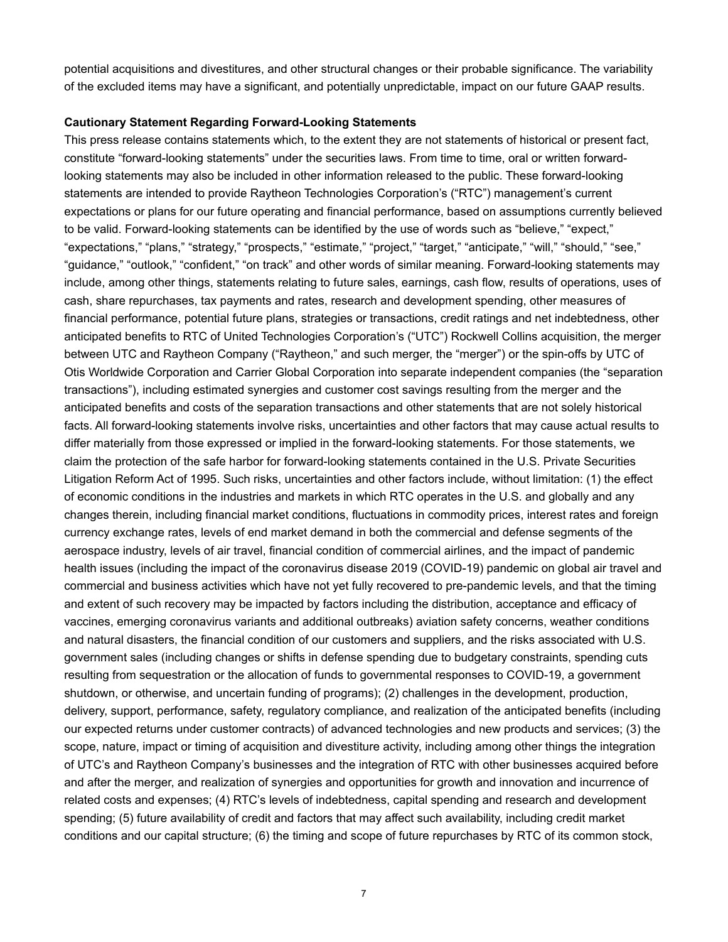potential acquisitions and divestitures, and other structural changes or their probable significance. The variability of the excluded items may have a significant, and potentially unpredictable, impact on our future GAAP results.

#### **Cautionary Statement Regarding Forward-Looking Statements**

This press release contains statements which, to the extent they are not statements of historical or present fact, constitute "forward-looking statements" under the securities laws. From time to time, oral or written forwardlooking statements may also be included in other information released to the public. These forward-looking statements are intended to provide Raytheon Technologies Corporation's ("RTC") management's current expectations or plans for our future operating and financial performance, based on assumptions currently believed to be valid. Forward-looking statements can be identified by the use of words such as "believe," "expect," "expectations," "plans," "strategy," "prospects," "estimate," "project," "target," "anticipate," "will," "should," "see," "guidance," "outlook," "confident," "on track" and other words of similar meaning. Forward-looking statements may include, among other things, statements relating to future sales, earnings, cash flow, results of operations, uses of cash, share repurchases, tax payments and rates, research and development spending, other measures of financial performance, potential future plans, strategies or transactions, credit ratings and net indebtedness, other anticipated benefits to RTC of United Technologies Corporation's ("UTC") Rockwell Collins acquisition, the merger between UTC and Raytheon Company ("Raytheon," and such merger, the "merger") or the spin-offs by UTC of Otis Worldwide Corporation and Carrier Global Corporation into separate independent companies (the "separation transactions"), including estimated synergies and customer cost savings resulting from the merger and the anticipated benefits and costs of the separation transactions and other statements that are not solely historical facts. All forward-looking statements involve risks, uncertainties and other factors that may cause actual results to differ materially from those expressed or implied in the forward-looking statements. For those statements, we claim the protection of the safe harbor for forward-looking statements contained in the U.S. Private Securities Litigation Reform Act of 1995. Such risks, uncertainties and other factors include, without limitation: (1) the effect of economic conditions in the industries and markets in which RTC operates in the U.S. and globally and any changes therein, including financial market conditions, fluctuations in commodity prices, interest rates and foreign currency exchange rates, levels of end market demand in both the commercial and defense segments of the aerospace industry, levels of air travel, financial condition of commercial airlines, and the impact of pandemic health issues (including the impact of the coronavirus disease 2019 (COVID-19) pandemic on global air travel and commercial and business activities which have not yet fully recovered to pre-pandemic levels, and that the timing and extent of such recovery may be impacted by factors including the distribution, acceptance and efficacy of vaccines, emerging coronavirus variants and additional outbreaks) aviation safety concerns, weather conditions and natural disasters, the financial condition of our customers and suppliers, and the risks associated with U.S. government sales (including changes or shifts in defense spending due to budgetary constraints, spending cuts resulting from sequestration or the allocation of funds to governmental responses to COVID-19, a government shutdown, or otherwise, and uncertain funding of programs); (2) challenges in the development, production, delivery, support, performance, safety, regulatory compliance, and realization of the anticipated benefits (including our expected returns under customer contracts) of advanced technologies and new products and services; (3) the scope, nature, impact or timing of acquisition and divestiture activity, including among other things the integration of UTC's and Raytheon Company's businesses and the integration of RTC with other businesses acquired before and after the merger, and realization of synergies and opportunities for growth and innovation and incurrence of related costs and expenses; (4) RTC's levels of indebtedness, capital spending and research and development spending; (5) future availability of credit and factors that may affect such availability, including credit market conditions and our capital structure; (6) the timing and scope of future repurchases by RTC of its common stock,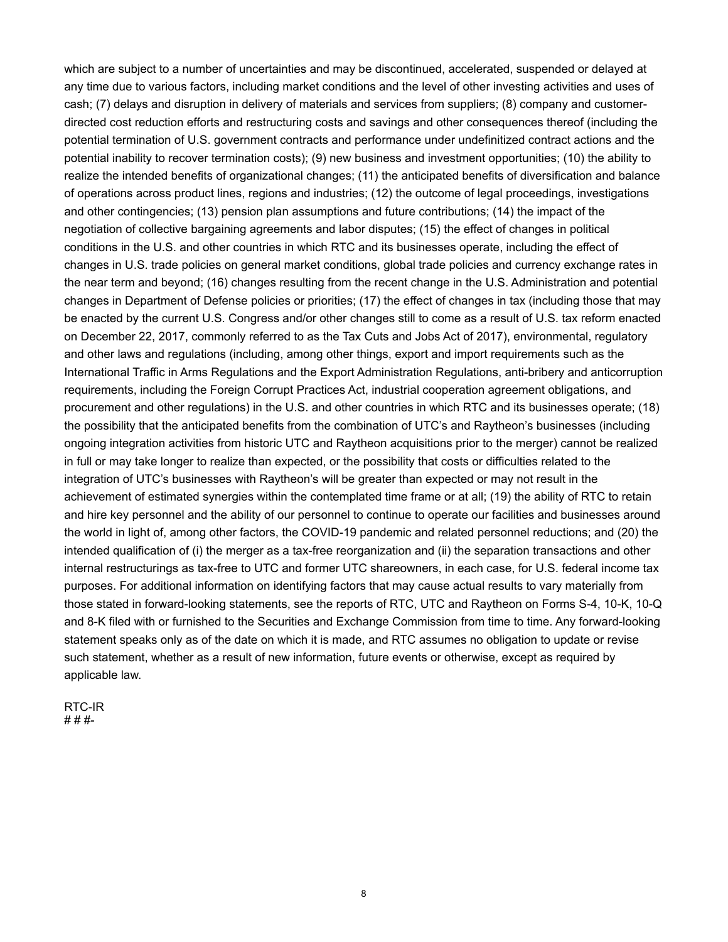which are subject to a number of uncertainties and may be discontinued, accelerated, suspended or delayed at any time due to various factors, including market conditions and the level of other investing activities and uses of cash; (7) delays and disruption in delivery of materials and services from suppliers; (8) company and customerdirected cost reduction efforts and restructuring costs and savings and other consequences thereof (including the potential termination of U.S. government contracts and performance under undefinitized contract actions and the potential inability to recover termination costs); (9) new business and investment opportunities; (10) the ability to realize the intended benefits of organizational changes; (11) the anticipated benefits of diversification and balance of operations across product lines, regions and industries; (12) the outcome of legal proceedings, investigations and other contingencies; (13) pension plan assumptions and future contributions; (14) the impact of the negotiation of collective bargaining agreements and labor disputes; (15) the effect of changes in political conditions in the U.S. and other countries in which RTC and its businesses operate, including the effect of changes in U.S. trade policies on general market conditions, global trade policies and currency exchange rates in the near term and beyond; (16) changes resulting from the recent change in the U.S. Administration and potential changes in Department of Defense policies or priorities; (17) the effect of changes in tax (including those that may be enacted by the current U.S. Congress and/or other changes still to come as a result of U.S. tax reform enacted on December 22, 2017, commonly referred to as the Tax Cuts and Jobs Act of 2017), environmental, regulatory and other laws and regulations (including, among other things, export and import requirements such as the International Traffic in Arms Regulations and the Export Administration Regulations, anti-bribery and anticorruption requirements, including the Foreign Corrupt Practices Act, industrial cooperation agreement obligations, and procurement and other regulations) in the U.S. and other countries in which RTC and its businesses operate; (18) the possibility that the anticipated benefits from the combination of UTC's and Raytheon's businesses (including ongoing integration activities from historic UTC and Raytheon acquisitions prior to the merger) cannot be realized in full or may take longer to realize than expected, or the possibility that costs or difficulties related to the integration of UTC's businesses with Raytheon's will be greater than expected or may not result in the achievement of estimated synergies within the contemplated time frame or at all; (19) the ability of RTC to retain and hire key personnel and the ability of our personnel to continue to operate our facilities and businesses around the world in light of, among other factors, the COVID-19 pandemic and related personnel reductions; and (20) the intended qualification of (i) the merger as a tax-free reorganization and (ii) the separation transactions and other internal restructurings as tax-free to UTC and former UTC shareowners, in each case, for U.S. federal income tax purposes. For additional information on identifying factors that may cause actual results to vary materially from those stated in forward-looking statements, see the reports of RTC, UTC and Raytheon on Forms S-4, 10-K, 10-Q and 8-K filed with or furnished to the Securities and Exchange Commission from time to time. Any forward-looking statement speaks only as of the date on which it is made, and RTC assumes no obligation to update or revise such statement, whether as a result of new information, future events or otherwise, except as required by applicable law.

RTC-IR # # #-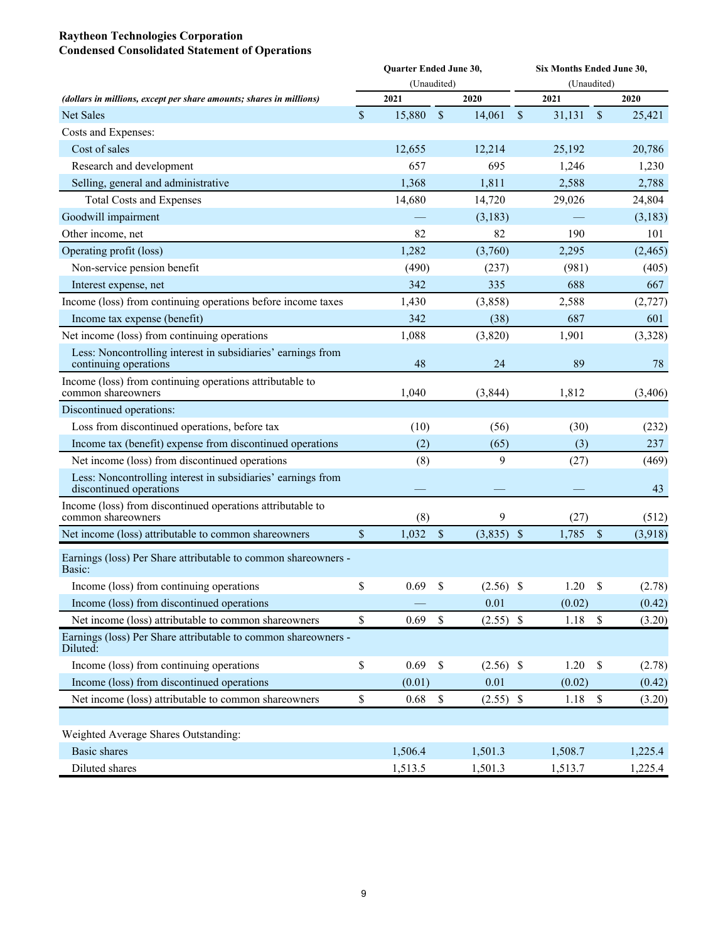#### **Raytheon Technologies Corporation Condensed Consolidated Statement of Operations**

|                                                                                         |               | Quarter Ended June 30, |                           |              | Six Months Ended June 30, |             |              |          |  |  |  |  |  |
|-----------------------------------------------------------------------------------------|---------------|------------------------|---------------------------|--------------|---------------------------|-------------|--------------|----------|--|--|--|--|--|
|                                                                                         |               | (Unaudited)            |                           |              |                           | (Unaudited) |              |          |  |  |  |  |  |
| (dollars in millions, except per share amounts; shares in millions)                     |               | 2021                   |                           | 2020         |                           | 2021        |              | 2020     |  |  |  |  |  |
| <b>Net Sales</b>                                                                        | $\mathsf{\$}$ | 15,880                 | $\mathcal{S}$             | 14,061       | $\$$                      | 31,131      | $\mathbb{S}$ | 25,421   |  |  |  |  |  |
| Costs and Expenses:                                                                     |               |                        |                           |              |                           |             |              |          |  |  |  |  |  |
| Cost of sales                                                                           |               | 12,655                 |                           | 12,214       |                           | 25,192      |              | 20,786   |  |  |  |  |  |
| Research and development                                                                |               | 657                    |                           | 695          |                           | 1,246       |              | 1,230    |  |  |  |  |  |
| Selling, general and administrative                                                     |               | 1,368                  |                           | 1,811        |                           | 2,588       |              | 2,788    |  |  |  |  |  |
| <b>Total Costs and Expenses</b>                                                         |               | 14,680                 |                           | 14,720       |                           | 29,026      |              | 24,804   |  |  |  |  |  |
| Goodwill impairment                                                                     |               |                        |                           | (3,183)      |                           |             |              | (3,183)  |  |  |  |  |  |
| Other income, net                                                                       |               | 82                     |                           | 82           |                           | 190         |              | 101      |  |  |  |  |  |
| Operating profit (loss)                                                                 |               | 1,282                  |                           | (3,760)      |                           | 2,295       |              | (2, 465) |  |  |  |  |  |
| Non-service pension benefit                                                             |               | (490)                  |                           | (237)        |                           | (981)       |              | (405)    |  |  |  |  |  |
| Interest expense, net                                                                   |               | 342                    |                           | 335          |                           | 688         |              | 667      |  |  |  |  |  |
| Income (loss) from continuing operations before income taxes                            |               | 1,430                  |                           | (3,858)      |                           | 2,588       |              | (2,727)  |  |  |  |  |  |
| Income tax expense (benefit)                                                            |               | 342                    |                           | (38)         |                           | 687         |              | 601      |  |  |  |  |  |
| Net income (loss) from continuing operations                                            |               | 1,088                  |                           | (3,820)      |                           | 1,901       |              | (3,328)  |  |  |  |  |  |
| Less: Noncontrolling interest in subsidiaries' earnings from<br>continuing operations   |               | 48                     |                           | 24           |                           | 89          |              | 78       |  |  |  |  |  |
| Income (loss) from continuing operations attributable to<br>common shareowners          |               | 1,040                  |                           | (3, 844)     |                           | 1,812       |              | (3, 406) |  |  |  |  |  |
| Discontinued operations:                                                                |               |                        |                           |              |                           |             |              |          |  |  |  |  |  |
| Loss from discontinued operations, before tax                                           |               | (10)                   |                           | (56)         |                           | (30)        |              | (232)    |  |  |  |  |  |
| Income tax (benefit) expense from discontinued operations                               |               | (2)                    |                           | (65)         |                           | (3)         |              | 237      |  |  |  |  |  |
| Net income (loss) from discontinued operations                                          |               | (8)                    |                           | 9            |                           | (27)        |              | (469)    |  |  |  |  |  |
| Less: Noncontrolling interest in subsidiaries' earnings from<br>discontinued operations |               |                        |                           |              |                           |             |              | 43       |  |  |  |  |  |
| Income (loss) from discontinued operations attributable to<br>common shareowners        |               | (8)                    |                           | 9            |                           | (27)        |              | (512)    |  |  |  |  |  |
| Net income (loss) attributable to common shareowners                                    | \$            | 1,032                  | $\boldsymbol{\mathsf{S}}$ | $(3,835)$ \$ |                           | 1,785       | \$           | (3,918)  |  |  |  |  |  |
| Earnings (loss) Per Share attributable to common shareowners -<br>Basic:                |               |                        |                           |              |                           |             |              |          |  |  |  |  |  |
| Income (loss) from continuing operations                                                | \$            | 0.69                   | \$                        | $(2.56)$ \$  |                           | 1.20        | \$           | (2.78)   |  |  |  |  |  |
| Income (loss) from discontinued operations                                              |               |                        |                           | 0.01         |                           | (0.02)      |              | (0.42)   |  |  |  |  |  |
| Net income (loss) attributable to common shareowners                                    | \$            | 0.69                   | \$                        | $(2.55)$ \$  |                           | 1.18        | $\mathbb S$  | (3.20)   |  |  |  |  |  |
| Earnings (loss) Per Share attributable to common shareowners -<br>Diluted:              |               |                        |                           |              |                           |             |              |          |  |  |  |  |  |
| Income (loss) from continuing operations                                                | \$            | 0.69                   | $\mathbb S$               | $(2.56)$ \$  |                           | 1.20        | $\mathbb{S}$ | (2.78)   |  |  |  |  |  |
| Income (loss) from discontinued operations                                              |               | (0.01)                 |                           | 0.01         |                           | (0.02)      |              | (0.42)   |  |  |  |  |  |
| Net income (loss) attributable to common shareowners                                    | $\mathbb S$   | 0.68                   | $\mathbb S$               | $(2.55)$ \$  |                           | $1.18$ \$   |              | (3.20)   |  |  |  |  |  |
|                                                                                         |               |                        |                           |              |                           |             |              |          |  |  |  |  |  |
| Weighted Average Shares Outstanding:                                                    |               |                        |                           |              |                           |             |              |          |  |  |  |  |  |
| <b>Basic shares</b>                                                                     |               | 1,506.4                |                           | 1,501.3      |                           | 1,508.7     |              | 1,225.4  |  |  |  |  |  |
| Diluted shares                                                                          |               | 1,513.5                |                           | 1,501.3      |                           | 1,513.7     |              | 1,225.4  |  |  |  |  |  |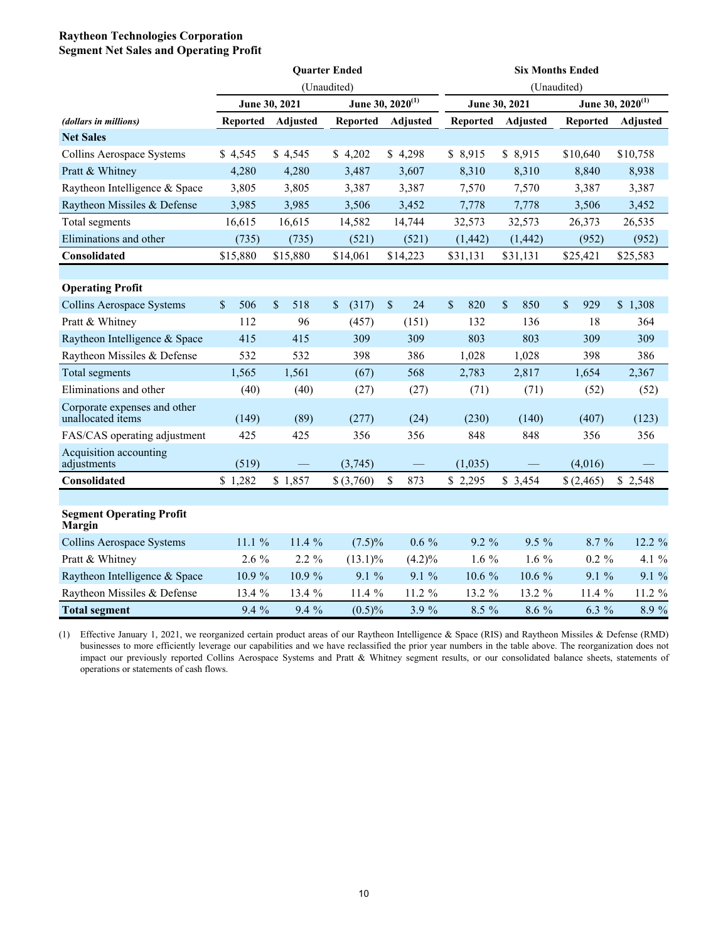## **Raytheon Technologies Corporation Segment Net Sales and Operating Profit**

|                                                   |                 |                                  | <b>Ouarter Ended</b> |                              | <b>Six Months Ended</b> |               |                 |                              |  |  |  |
|---------------------------------------------------|-----------------|----------------------------------|----------------------|------------------------------|-------------------------|---------------|-----------------|------------------------------|--|--|--|
|                                                   |                 |                                  | (Unaudited)          |                              |                         |               | (Unaudited)     |                              |  |  |  |
|                                                   |                 | June 30, 2021                    |                      | June 30, 2020 <sup>(1)</sup> |                         | June 30, 2021 |                 | June 30, 2020 <sup>(1)</sup> |  |  |  |
| (dollars in millions)                             | <b>Reported</b> | Adjusted                         | <b>Reported</b>      | <b>Adjusted</b>              | <b>Reported</b>         | Adjusted      | <b>Reported</b> | Adjusted                     |  |  |  |
| <b>Net Sales</b>                                  |                 |                                  |                      |                              |                         |               |                 |                              |  |  |  |
| Collins Aerospace Systems                         | \$4,545         | \$4,545                          | \$4,202              | \$4,298                      | \$8,915                 | \$8,915       | \$10,640        | \$10,758                     |  |  |  |
| Pratt & Whitney                                   | 4,280           | 4,280                            | 3,487                | 3,607                        | 8,310                   | 8,310         | 8,840           | 8,938                        |  |  |  |
| Raytheon Intelligence & Space                     | 3,805           | 3,805                            | 3,387                | 3,387                        | 7,570                   | 7,570         | 3,387           | 3,387                        |  |  |  |
| Raytheon Missiles & Defense                       | 3,985           | 3,985                            | 3,506                | 3,452                        | 7,778                   | 7,778         | 3,506           | 3,452                        |  |  |  |
| Total segments                                    | 16,615          | 16,615                           | 14,582               | 14,744                       | 32,573                  | 32,573        | 26,373          | 26,535                       |  |  |  |
| Eliminations and other                            | (735)           | (735)                            | (521)                | (521)                        | (1, 442)                | (1, 442)      | (952)           | (952)                        |  |  |  |
| Consolidated                                      | \$15,880        | \$15,880                         | \$14,061             | \$14,223                     | \$31,131                | \$31,131      | \$25,421        | \$25,583                     |  |  |  |
|                                                   |                 |                                  |                      |                              |                         |               |                 |                              |  |  |  |
| <b>Operating Profit</b>                           |                 |                                  |                      |                              |                         |               |                 |                              |  |  |  |
| Collins Aerospace Systems                         | \$<br>506       | $\boldsymbol{\mathsf{S}}$<br>518 | \$<br>(317)          | $\sqrt{\ }$<br>24            | \$<br>820               | \$<br>850     | \$<br>929       | \$1,308                      |  |  |  |
| Pratt & Whitney                                   | 112             | 96                               | (457)                | (151)                        | 132                     | 136           | 18              | 364                          |  |  |  |
| Raytheon Intelligence & Space                     | 415             | 415                              | 309                  | 309                          | 803                     | 803           | 309             | 309                          |  |  |  |
| Raytheon Missiles & Defense                       | 532             | 532                              | 398                  | 386                          | 1,028                   | 1,028         | 398             | 386                          |  |  |  |
| Total segments                                    | 1,565           | 1,561                            | (67)                 | 568                          | 2,783                   | 2,817         | 1,654           | 2,367                        |  |  |  |
| Eliminations and other                            | (40)            | (40)                             | (27)                 | (27)                         | (71)                    | (71)          | (52)            | (52)                         |  |  |  |
| Corporate expenses and other<br>unallocated items | (149)           | (89)                             | (277)                | (24)                         | (230)                   | (140)         | (407)           | (123)                        |  |  |  |
| FAS/CAS operating adjustment                      | 425             | 425                              | 356                  | 356                          | 848                     | 848           | 356             | 356                          |  |  |  |
| Acquisition accounting<br>adjustments             | (519)           |                                  | (3,745)              |                              | (1,035)                 |               | (4,016)         |                              |  |  |  |
| Consolidated                                      | \$1,282         | \$1,857                          | \$ (3,760)           | \$<br>873                    | \$2,295                 | \$3,454       | \$(2,465)       | \$2,548                      |  |  |  |
|                                                   |                 |                                  |                      |                              |                         |               |                 |                              |  |  |  |
| <b>Segment Operating Profit</b><br>Margin         |                 |                                  |                      |                              |                         |               |                 |                              |  |  |  |
| Collins Aerospace Systems                         | 11.1 %          | 11.4 %                           | $(7.5)\%$            | $0.6\%$                      | 9.2 %                   | 9.5 %         | 8.7 %           | 12.2 %                       |  |  |  |
| Pratt & Whitney                                   | $2.6\%$         | $2.2 \%$                         | $(13.1)\%$           | (4.2)%                       | $1.6\%$                 | 1.6 $%$       | $0.2 \%$        | 4.1 %                        |  |  |  |
| Raytheon Intelligence & Space                     | 10.9 %          | 10.9 %                           | 9.1 %                | 9.1%                         | 10.6 %                  | 10.6 %        | 9.1 %           | 9.1 %                        |  |  |  |
| Raytheon Missiles & Defense                       | 13.4 %          | 13.4 %                           | 11.4 %               | 11.2 %                       | 13.2 %                  | 13.2 %        | 11.4 %          | 11.2 %                       |  |  |  |
| <b>Total segment</b>                              | 9.4 %           | 9.4 %                            | $(0.5)\%$            | 3.9%                         | 8.5 %                   | 8.6 %         | 6.3 %           | 8.9%                         |  |  |  |

(1) Effective January 1, 2021, we reorganized certain product areas of our Raytheon Intelligence & Space (RIS) and Raytheon Missiles & Defense (RMD) businesses to more efficiently leverage our capabilities and we have reclassified the prior year numbers in the table above. The reorganization does not impact our previously reported Collins Aerospace Systems and Pratt & Whitney segment results, or our consolidated balance sheets, statements of operations or statements of cash flows.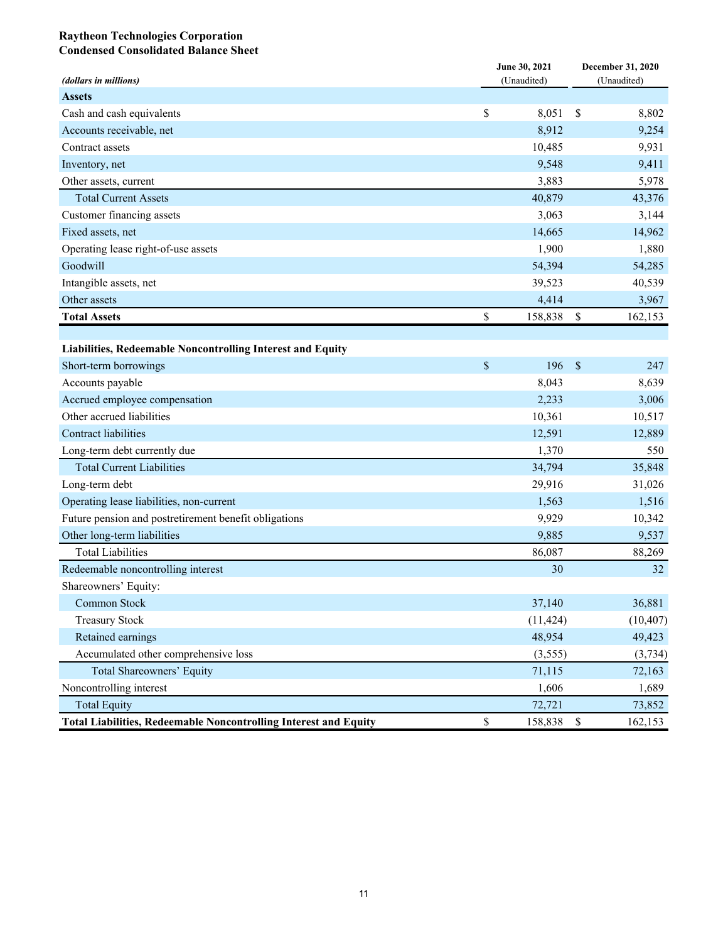#### **Raytheon Technologies Corporation Condensed Consolidated Balance Sheet**

| (dollars in millions)                                                   |             | June 30, 2021<br>(Unaudited) | <b>December 31, 2020</b><br>(Unaudited) |           |  |
|-------------------------------------------------------------------------|-------------|------------------------------|-----------------------------------------|-----------|--|
| <b>Assets</b>                                                           |             |                              |                                         |           |  |
| Cash and cash equivalents                                               | \$          | 8,051                        | \$                                      | 8,802     |  |
| Accounts receivable, net                                                |             | 8,912                        |                                         | 9,254     |  |
| Contract assets                                                         |             | 10,485                       |                                         | 9,931     |  |
| Inventory, net                                                          |             | 9,548                        |                                         | 9,411     |  |
| Other assets, current                                                   |             | 3,883                        |                                         | 5,978     |  |
| <b>Total Current Assets</b>                                             |             | 40,879                       |                                         | 43,376    |  |
| Customer financing assets                                               |             | 3,063                        |                                         | 3,144     |  |
| Fixed assets, net                                                       |             | 14,665                       |                                         | 14,962    |  |
| Operating lease right-of-use assets                                     |             | 1,900                        |                                         | 1,880     |  |
| Goodwill                                                                |             | 54,394                       |                                         | 54,285    |  |
| Intangible assets, net                                                  |             | 39,523                       |                                         | 40,539    |  |
| Other assets                                                            |             | 4,414                        |                                         | 3,967     |  |
| <b>Total Assets</b>                                                     | \$          | 158,838                      | \$                                      | 162,153   |  |
|                                                                         |             |                              |                                         |           |  |
| Liabilities, Redeemable Noncontrolling Interest and Equity              |             |                              |                                         |           |  |
| Short-term borrowings                                                   | \$          | 196                          | $\mathbb{S}$                            | 247       |  |
| Accounts payable                                                        |             | 8,043                        |                                         | 8,639     |  |
| Accrued employee compensation                                           |             | 2,233                        |                                         | 3,006     |  |
| Other accrued liabilities                                               |             | 10,361                       |                                         | 10,517    |  |
| Contract liabilities                                                    |             | 12,591                       |                                         | 12,889    |  |
| Long-term debt currently due                                            |             | 1,370                        |                                         | 550       |  |
| <b>Total Current Liabilities</b>                                        |             | 34,794                       |                                         | 35,848    |  |
| Long-term debt                                                          |             | 29,916                       |                                         | 31,026    |  |
| Operating lease liabilities, non-current                                |             | 1,563                        |                                         | 1,516     |  |
| Future pension and postretirement benefit obligations                   |             | 9,929                        |                                         | 10,342    |  |
| Other long-term liabilities                                             |             | 9,885                        |                                         | 9,537     |  |
| <b>Total Liabilities</b>                                                |             | 86,087                       |                                         | 88,269    |  |
| Redeemable noncontrolling interest                                      |             | 30                           |                                         | 32        |  |
| Shareowners' Equity:                                                    |             |                              |                                         |           |  |
| Common Stock                                                            |             | 37,140                       |                                         | 36,881    |  |
| <b>Treasury Stock</b>                                                   |             | (11, 424)                    |                                         | (10, 407) |  |
| Retained earnings                                                       |             | 48,954                       |                                         | 49,423    |  |
| Accumulated other comprehensive loss                                    |             | (3,555)                      |                                         | (3,734)   |  |
| Total Shareowners' Equity                                               |             | 71,115                       |                                         | 72,163    |  |
| Noncontrolling interest                                                 |             | 1,606                        |                                         | 1,689     |  |
| <b>Total Equity</b>                                                     |             | 72,721                       |                                         | 73,852    |  |
| <b>Total Liabilities, Redeemable Noncontrolling Interest and Equity</b> | $\mathbb S$ | 158,838 \$                   |                                         | 162,153   |  |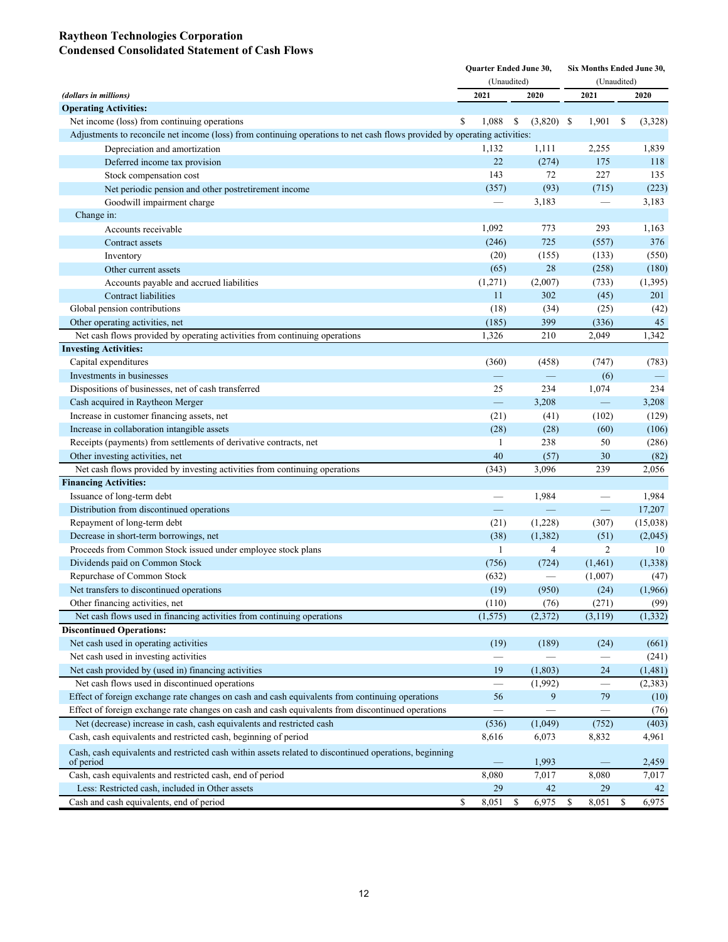#### **Raytheon Technologies Corporation Condensed Consolidated Statement of Cash Flows**

|                                                                                                                           | Quarter Ended June 30,   |             | Six Months Ended June 30, |    |                               |    |          |
|---------------------------------------------------------------------------------------------------------------------------|--------------------------|-------------|---------------------------|----|-------------------------------|----|----------|
|                                                                                                                           |                          | (Unaudited) |                           |    | (Unaudited)                   |    |          |
| (dollars in millions)                                                                                                     | 2021                     | 2020        |                           |    | 2021                          |    | 2020     |
| <b>Operating Activities:</b>                                                                                              |                          |             |                           |    |                               |    |          |
| Net income (loss) from continuing operations                                                                              | \$<br>1,088              | \$          | $(3,820)$ \$              |    | 1,901                         | \$ | (3,328)  |
| Adjustments to reconcile net income (loss) from continuing operations to net cash flows provided by operating activities: |                          |             |                           |    |                               |    |          |
| Depreciation and amortization                                                                                             | 1,132                    |             | 1,111                     |    | 2,255                         |    | 1,839    |
| Deferred income tax provision                                                                                             | 22                       |             | (274)                     |    | 175                           |    | 118      |
| Stock compensation cost                                                                                                   | 143                      |             | 72                        |    | 227                           |    | 135      |
| Net periodic pension and other postretirement income                                                                      | (357)                    |             | (93)                      |    | (715)                         |    | (223)    |
| Goodwill impairment charge                                                                                                |                          |             | 3,183                     |    | $\overbrace{\phantom{12333}}$ |    | 3,183    |
| Change in:                                                                                                                |                          |             |                           |    |                               |    |          |
| Accounts receivable                                                                                                       | 1,092                    |             | 773                       |    | 293                           |    | 1,163    |
| Contract assets                                                                                                           | (246)                    |             | 725                       |    | (557)                         |    | 376      |
| Inventory                                                                                                                 | (20)                     |             | (155)                     |    | (133)                         |    | (550)    |
| Other current assets                                                                                                      | (65)                     |             | 28                        |    | (258)                         |    | (180)    |
| Accounts payable and accrued liabilities                                                                                  | (1,271)                  |             | (2,007)                   |    | (733)                         |    | (1, 395) |
| Contract liabilities                                                                                                      | 11                       |             | 302                       |    | (45)                          |    | 201      |
| Global pension contributions                                                                                              | (18)                     |             | (34)                      |    | (25)                          |    | (42)     |
| Other operating activities, net                                                                                           | (185)                    |             | 399                       |    | (336)                         |    | 45       |
| Net cash flows provided by operating activities from continuing operations                                                | 1,326                    |             | 210                       |    | 2,049                         |    | 1,342    |
| <b>Investing Activities:</b>                                                                                              |                          |             |                           |    |                               |    |          |
| Capital expenditures                                                                                                      | (360)                    |             | (458)                     |    | (747)                         |    | (783)    |
| Investments in businesses                                                                                                 | $\overline{\phantom{0}}$ |             | $\equiv$                  |    | (6)                           |    |          |
| Dispositions of businesses, net of cash transferred                                                                       | 25                       |             | 234                       |    | 1,074                         |    | 234      |
| Cash acquired in Raytheon Merger                                                                                          | $\equiv$                 |             | 3,208                     |    | $\overline{\phantom{0}}$      |    | 3,208    |
| Increase in customer financing assets, net                                                                                | (21)                     |             | (41)                      |    | (102)                         |    | (129)    |
| Increase in collaboration intangible assets                                                                               | (28)                     |             | (28)                      |    | (60)                          |    | (106)    |
| Receipts (payments) from settlements of derivative contracts, net                                                         | 1                        |             | 238                       |    | 50                            |    | (286)    |
| Other investing activities, net                                                                                           | 40                       |             | (57)                      |    | 30                            |    | (82)     |
| Net cash flows provided by investing activities from continuing operations                                                | (343)                    |             | 3,096                     |    | 239                           |    | 2,056    |
| <b>Financing Activities:</b>                                                                                              |                          |             |                           |    |                               |    |          |
| Issuance of long-term debt                                                                                                |                          |             | 1,984                     |    |                               |    | 1,984    |
| Distribution from discontinued operations                                                                                 | -                        |             | $\equiv$                  |    | $\equiv$                      |    | 17,207   |
| Repayment of long-term debt                                                                                               | (21)                     |             | (1,228)                   |    | (307)                         |    | (15,038) |
| Decrease in short-term borrowings, net                                                                                    | (38)                     |             | (1, 382)                  |    | (51)                          |    | (2,045)  |
| Proceeds from Common Stock issued under employee stock plans                                                              | 1                        |             | $\overline{4}$            |    | $\overline{2}$                |    | 10       |
| Dividends paid on Common Stock                                                                                            | (756)                    |             | (724)                     |    | (1,461)                       |    | (1,338)  |
| Repurchase of Common Stock                                                                                                | (632)                    |             |                           |    | (1,007)                       |    | (47)     |
| Net transfers to discontinued operations                                                                                  | (19)                     |             | (950)                     |    | (24)                          |    | (1,966)  |
| Other financing activities, net                                                                                           | (110)                    |             | (76)                      |    | (271)                         |    | (99)     |
| Net cash flows used in financing activities from continuing operations                                                    | (1, 575)                 |             | (2,372)                   |    | (3, 119)                      |    | (1, 332) |
| <b>Discontinued Operations:</b>                                                                                           |                          |             |                           |    |                               |    |          |
| Net cash used in operating activities                                                                                     | (19)                     |             | (189)                     |    | (24)                          |    | (661)    |
| Net cash used in investing activities                                                                                     |                          |             |                           |    |                               |    | (241)    |
| Net cash provided by (used in) financing activities                                                                       | 19                       |             | (1, 803)                  |    | 24                            |    | (1,481)  |
| Net cash flows used in discontinued operations                                                                            | $\overline{\phantom{0}}$ |             | (1,992)                   |    | $\overline{\phantom{0}}$      |    | (2,383)  |
| Effect of foreign exchange rate changes on cash and cash equivalents from continuing operations                           | 56                       |             | 9                         |    | 79                            |    | (10)     |
| Effect of foreign exchange rate changes on cash and cash equivalents from discontinued operations                         |                          |             |                           |    |                               |    | (76)     |
| Net (decrease) increase in cash, cash equivalents and restricted cash                                                     | (536)                    |             | (1,049)                   |    | (752)                         |    | (403)    |
| Cash, cash equivalents and restricted cash, beginning of period                                                           | 8,616                    |             | 6,073                     |    | 8,832                         |    | 4,961    |
| Cash, cash equivalents and restricted cash within assets related to discontinued operations, beginning                    |                          |             | 1,993                     |    |                               |    | 2,459    |
| of period<br>Cash, cash equivalents and restricted cash, end of period                                                    | 8,080                    |             | 7,017                     |    | 8,080                         |    | 7,017    |
| Less: Restricted cash, included in Other assets                                                                           | 29                       |             | 42                        |    | 29                            |    | 42       |
| Cash and cash equivalents, end of period                                                                                  | \$<br>8,051              | \$          | 6,975                     | \$ | 8,051                         | \$ | 6,975    |
|                                                                                                                           |                          |             |                           |    |                               |    |          |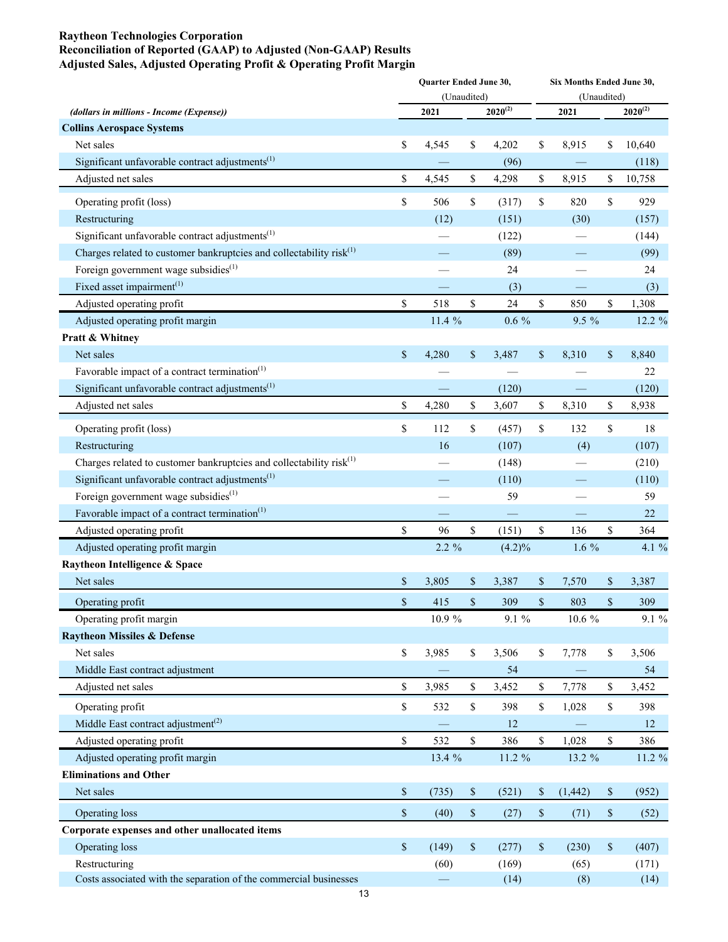#### **Raytheon Technologies Corporation Reconciliation of Reported (GAAP) to Adjusted (Non-GAAP) Results Adjusted Sales, Adjusted Operating Profit & Operating Profit Margin**

|                                                                       | <b>Ouarter Ended June 30,</b><br>(Unaudited) |                   |              |              |      | Six Months Ended June 30,<br>(Unaudited) |              |              |  |  |  |  |
|-----------------------------------------------------------------------|----------------------------------------------|-------------------|--------------|--------------|------|------------------------------------------|--------------|--------------|--|--|--|--|
| (dollars in millions - Income (Expense))                              |                                              | 2021              |              | $2020^{(2)}$ |      | 2021                                     |              | $2020^{(2)}$ |  |  |  |  |
| <b>Collins Aerospace Systems</b>                                      |                                              |                   |              |              |      |                                          |              |              |  |  |  |  |
| Net sales                                                             | \$                                           | 4,545             | \$           | 4,202        | \$   | 8,915                                    | \$           | 10,640       |  |  |  |  |
| Significant unfavorable contract adjustments $^{(1)}$                 |                                              |                   |              | (96)         |      |                                          |              | (118)        |  |  |  |  |
| Adjusted net sales                                                    | \$                                           | 4,545             | \$           | 4,298        | \$   | 8,915                                    | \$           | 10,758       |  |  |  |  |
| Operating profit (loss)                                               | \$                                           | 506               | \$           | (317)        | \$   | 820                                      | \$           | 929          |  |  |  |  |
| Restructuring                                                         |                                              | (12)              |              | (151)        |      | (30)                                     |              | (157)        |  |  |  |  |
| Significant unfavorable contract adjustments <sup>(1)</sup>           |                                              |                   |              | (122)        |      |                                          |              | (144)        |  |  |  |  |
| Charges related to customer bankruptcies and collectability $risk(1)$ |                                              |                   |              | (89)         |      |                                          |              | (99)         |  |  |  |  |
| Foreign government wage subsidies <sup>(1)</sup>                      |                                              |                   |              | 24           |      |                                          |              | 24           |  |  |  |  |
| Fixed asset impairment $(1)$                                          |                                              |                   |              | (3)          |      |                                          |              | (3)          |  |  |  |  |
| Adjusted operating profit                                             | \$                                           | 518               | $\mathbb{S}$ | 24           | \$   | 850                                      | \$           | 1,308        |  |  |  |  |
| Adjusted operating profit margin                                      |                                              | 11.4 %            |              | $0.6\%$      |      | $9.5\%$                                  |              | 12.2 %       |  |  |  |  |
| Pratt & Whitney                                                       |                                              |                   |              |              |      |                                          |              |              |  |  |  |  |
| Net sales                                                             | \$                                           | 4,280             | \$           | 3,487        | \$   | 8,310                                    | \$           | 8,840        |  |  |  |  |
| Favorable impact of a contract termination <sup>(1)</sup>             |                                              |                   |              |              |      |                                          |              | 22           |  |  |  |  |
| Significant unfavorable contract adjustments <sup>(1)</sup>           |                                              |                   |              | (120)        |      |                                          |              | (120)        |  |  |  |  |
| Adjusted net sales                                                    | \$                                           | 4,280             | \$           | 3,607        | \$   | 8,310                                    | \$           | 8,938        |  |  |  |  |
| Operating profit (loss)                                               | \$                                           | 112               | \$           | (457)        | \$   | 132                                      | \$           | 18           |  |  |  |  |
| Restructuring                                                         |                                              | 16                |              | (107)        |      | (4)                                      |              | (107)        |  |  |  |  |
| Charges related to customer bankruptcies and collectability $risk(1)$ |                                              |                   |              | (148)        |      |                                          |              | (210)        |  |  |  |  |
| Significant unfavorable contract adjustments $^{(1)}$                 |                                              |                   |              | (110)        |      |                                          |              | (110)        |  |  |  |  |
| Foreign government wage subsidies $(1)$                               |                                              |                   |              | 59           |      |                                          |              | 59           |  |  |  |  |
| Favorable impact of a contract termination <sup>(1)</sup>             |                                              |                   |              |              |      |                                          |              | 22           |  |  |  |  |
| Adjusted operating profit                                             | $\mathbb{S}$                                 | 96                | $\mathbb S$  | (151)        | \$   | 136                                      | \$           | 364          |  |  |  |  |
| Adjusted operating profit margin                                      |                                              | $2.2 \%$          |              | $(4.2)\%$    |      | $1.6\%$                                  |              | 4.1 %        |  |  |  |  |
| Raytheon Intelligence & Space                                         |                                              |                   |              |              |      |                                          |              |              |  |  |  |  |
| Net sales                                                             | \$                                           | 3,805             | \$           | 3,387        | \$   | 7,570                                    | \$           | 3,387        |  |  |  |  |
| Operating profit                                                      | $\$$                                         | 415               | \$           | 309          | \$   | 803                                      | \$           | 309          |  |  |  |  |
| Operating profit margin                                               |                                              | 10.9%             |              | 9.1 %        |      | 10.6 %                                   |              | 9.1 %        |  |  |  |  |
| <b>Raytheon Missiles &amp; Defense</b>                                |                                              |                   |              |              |      |                                          |              |              |  |  |  |  |
| Net sales                                                             | \$                                           | 3,985             | \$           | 3,506        | \$   | 7,778                                    | \$           | 3,506        |  |  |  |  |
| Middle East contract adjustment                                       |                                              |                   |              | 54           |      |                                          |              | 54           |  |  |  |  |
| Adjusted net sales                                                    | \$                                           | 3,985             | \$           | 3,452        | \$   | 7,778                                    | \$           | 3,452        |  |  |  |  |
| Operating profit                                                      | \$                                           | 532               | $\mathbb S$  | 398          | \$   | 1,028                                    | \$           | 398          |  |  |  |  |
| Middle East contract adjustment <sup>(2)</sup>                        |                                              |                   |              | 12           |      |                                          |              | 12           |  |  |  |  |
| Adjusted operating profit                                             | \$                                           | 532               | $\mathbb S$  | 386          | \$   | 1,028                                    | $\mathbb S$  | 386          |  |  |  |  |
| Adjusted operating profit margin                                      |                                              | 13.4 %            |              | 11.2 %       |      | 13.2 %                                   |              | 11.2 %       |  |  |  |  |
| <b>Eliminations and Other</b>                                         |                                              |                   |              |              |      |                                          |              |              |  |  |  |  |
| Net sales                                                             | \$                                           | (735)             | $\$$         | (521)        | \$   | (1, 442)                                 | \$           | (952)        |  |  |  |  |
| Operating loss                                                        | \$                                           | (40)              | $\$$         | (27)         | $\$$ | (71)                                     | \$           | (52)         |  |  |  |  |
| Corporate expenses and other unallocated items                        |                                              |                   |              |              |      |                                          |              |              |  |  |  |  |
| Operating loss                                                        | $\$$                                         | (149)             | $\mathbb{S}$ | (277)        | \$   | (230)                                    | $\mathbb{S}$ | (407)        |  |  |  |  |
| Restructuring                                                         |                                              | (60)              |              | (169)        |      | (65)                                     |              | (171)        |  |  |  |  |
| Costs associated with the separation of the commercial businesses     |                                              | $\qquad \qquad -$ |              | (14)         |      | (8)                                      |              | (14)         |  |  |  |  |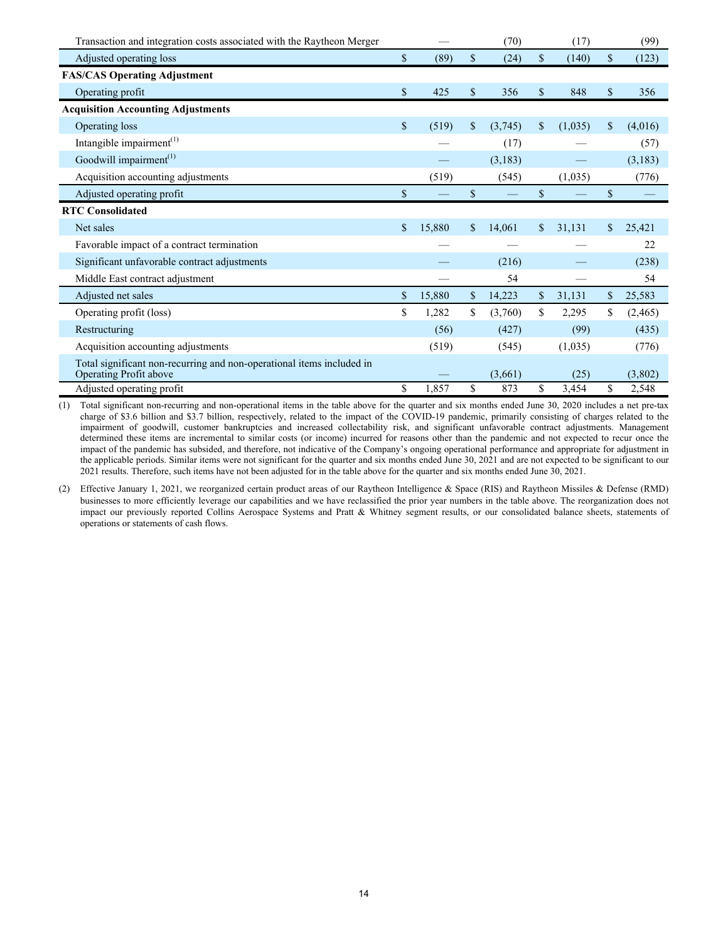| Transaction and integration costs associated with the Raytheon Merger                           |              |               | (70)    |              | (17)    | (99)           |
|-------------------------------------------------------------------------------------------------|--------------|---------------|---------|--------------|---------|----------------|
| Adjusted operating loss                                                                         | \$<br>(89)   | $\mathbb{S}$  | (24)    | $\mathbf S$  | (140)   | \$<br>(123)    |
| <b>FAS/CAS Operating Adjustment</b>                                                             |              |               |         |              |         |                |
| Operating profit                                                                                | \$<br>425    | \$            | 356     | $\mathbf S$  | 848     | \$<br>356      |
| <b>Acquisition Accounting Adjustments</b>                                                       |              |               |         |              |         |                |
| Operating loss                                                                                  | \$<br>(519)  | $\mathbf S$   | (3,745) | $\mathbf S$  | (1,035) | \$<br>(4,016)  |
| Intangible impairment $(1)$                                                                     |              |               | (17)    |              |         | (57)           |
| Goodwill impairment <sup>(1)</sup>                                                              |              |               | (3,183) |              |         | (3,183)        |
| Acquisition accounting adjustments                                                              | (519)        |               | (545)   |              | (1,035) | (776)          |
| Adjusted operating profit                                                                       | \$           | $\mathbb{S}$  |         | \$           |         | \$             |
| <b>RTC Consolidated</b>                                                                         |              |               |         |              |         |                |
| Net sales                                                                                       | \$<br>15,880 | $\mathbb{S}$  | 14,061  | $\mathbb{S}$ | 31,131  | \$<br>25,421   |
| Favorable impact of a contract termination                                                      |              |               |         |              |         | 22             |
| Significant unfavorable contract adjustments                                                    |              |               | (216)   |              |         | (238)          |
| Middle East contract adjustment                                                                 |              |               | 54      |              |         | 54             |
| Adjusted net sales                                                                              | \$<br>15,880 | $\mathsf{\$}$ | 14,223  | $\mathbb{S}$ | 31,131  | \$<br>25,583   |
| Operating profit (loss)                                                                         | \$<br>1,282  | \$            | (3,760) | \$           | 2,295   | \$<br>(2, 465) |
| Restructuring                                                                                   | (56)         |               | (427)   |              | (99)    | (435)          |
| Acquisition accounting adjustments                                                              | (519)        |               | (545)   |              | (1,035) | (776)          |
| Total significant non-recurring and non-operational items included in<br>Operating Profit above |              |               | (3,661) |              | (25)    | (3,802)        |
| Adjusted operating profit                                                                       | \$<br>1,857  | \$            | 873     | \$           | 3,454   | \$<br>2,548    |

(1) Total significant non-recurring and non-operational items in the table above for the quarter and six months ended June 30, 2020 includes a net pre-tax charge of \$3.6 billion and \$3.7 billion, respectively, related to the impact of the COVID-19 pandemic, primarily consisting of charges related to the impairment of goodwill, customer bankruptcies and increased collectability risk, and significant unfavorable contract adjustments. Management determined these items are incremental to similar costs (or income) incurred for reasons other than the pandemic and not expected to recur once the impact of the pandemic has subsided, and therefore, not indicative of the Company's ongoing operational performance and appropriate for adjustment in the applicable periods. Similar items were not significant for the quarter and six months ended June 30, 2021 and are not expected to be significant to our 2021 results. Therefore, such items have not been adjusted for in the table above for the quarter and six months ended June 30, 2021.

(2) Effective January 1, 2021, we reorganized certain product areas of our Raytheon Intelligence & Space (RIS) and Raytheon Missiles & Defense (RMD) businesses to more efficiently leverage our capabilities and we have reclassified the prior year numbers in the table above. The reorganization does not impact our previously reported Collins Aerospace Systems and Pratt & Whitney segment results, or our consolidated balance sheets, statements of operations or statements of cash flows.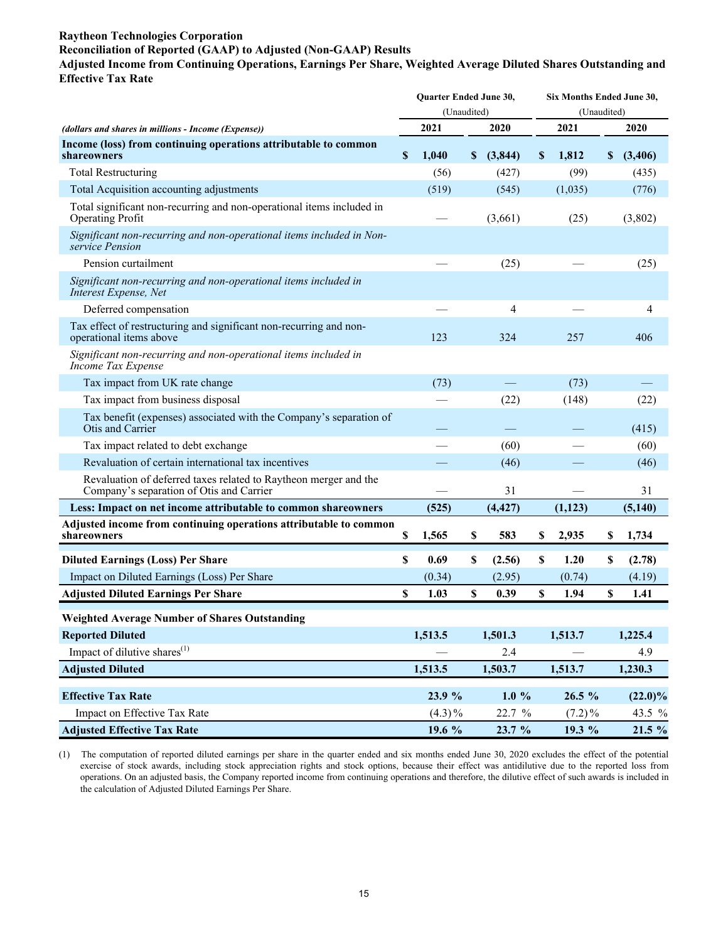## **Raytheon Technologies Corporation**

#### **Reconciliation of Reported (GAAP) to Adjusted (Non-GAAP) Results**

**Adjusted Income from Continuing Operations, Earnings Per Share, Weighted Average Diluted Shares Outstanding and Effective Tax Rate**

| (Unaudited)<br>(Unaudited)<br>2021<br>2021<br>2020<br>2020<br>(dollars and shares in millions - Income (Expense))<br>Income (loss) from continuing operations attributable to common<br>\$<br>1,040<br>(3,844)<br>$\boldsymbol{\mathsf{S}}$<br>1,812<br>\$<br>shareowners<br>S.<br>(3,406)<br><b>Total Restructuring</b><br>(99)<br>(56)<br>(427)<br>(435)<br>Total Acquisition accounting adjustments<br>(519)<br>(1,035)<br>(545)<br>(776)<br>Total significant non-recurring and non-operational items included in<br><b>Operating Profit</b><br>(3,661)<br>(25)<br>(3,802)<br>Significant non-recurring and non-operational items included in Non-<br>service Pension |                     | <b>Ouarter Ended June 30,</b> |      | Six Months Ended June 30, |  |  |                      |  |  |  |
|---------------------------------------------------------------------------------------------------------------------------------------------------------------------------------------------------------------------------------------------------------------------------------------------------------------------------------------------------------------------------------------------------------------------------------------------------------------------------------------------------------------------------------------------------------------------------------------------------------------------------------------------------------------------------|---------------------|-------------------------------|------|---------------------------|--|--|----------------------|--|--|--|
|                                                                                                                                                                                                                                                                                                                                                                                                                                                                                                                                                                                                                                                                           |                     |                               |      |                           |  |  |                      |  |  |  |
|                                                                                                                                                                                                                                                                                                                                                                                                                                                                                                                                                                                                                                                                           |                     |                               |      |                           |  |  |                      |  |  |  |
|                                                                                                                                                                                                                                                                                                                                                                                                                                                                                                                                                                                                                                                                           |                     |                               |      |                           |  |  |                      |  |  |  |
|                                                                                                                                                                                                                                                                                                                                                                                                                                                                                                                                                                                                                                                                           |                     |                               |      |                           |  |  |                      |  |  |  |
|                                                                                                                                                                                                                                                                                                                                                                                                                                                                                                                                                                                                                                                                           |                     |                               |      |                           |  |  |                      |  |  |  |
|                                                                                                                                                                                                                                                                                                                                                                                                                                                                                                                                                                                                                                                                           |                     |                               |      |                           |  |  |                      |  |  |  |
|                                                                                                                                                                                                                                                                                                                                                                                                                                                                                                                                                                                                                                                                           |                     |                               |      |                           |  |  |                      |  |  |  |
|                                                                                                                                                                                                                                                                                                                                                                                                                                                                                                                                                                                                                                                                           | Pension curtailment |                               | (25) |                           |  |  | (25)                 |  |  |  |
| Significant non-recurring and non-operational items included in<br>Interest Expense, Net                                                                                                                                                                                                                                                                                                                                                                                                                                                                                                                                                                                  |                     |                               |      |                           |  |  |                      |  |  |  |
| Deferred compensation<br>4<br>4                                                                                                                                                                                                                                                                                                                                                                                                                                                                                                                                                                                                                                           |                     |                               |      |                           |  |  |                      |  |  |  |
| Tax effect of restructuring and significant non-recurring and non-<br>operational items above<br>123<br>324<br>257<br>406                                                                                                                                                                                                                                                                                                                                                                                                                                                                                                                                                 |                     |                               |      |                           |  |  |                      |  |  |  |
| Significant non-recurring and non-operational items included in<br>Income Tax Expense                                                                                                                                                                                                                                                                                                                                                                                                                                                                                                                                                                                     |                     |                               |      |                           |  |  |                      |  |  |  |
| Tax impact from UK rate change<br>(73)<br>(73)                                                                                                                                                                                                                                                                                                                                                                                                                                                                                                                                                                                                                            |                     |                               |      |                           |  |  |                      |  |  |  |
| Tax impact from business disposal<br>(22)<br>(148)<br>(22)                                                                                                                                                                                                                                                                                                                                                                                                                                                                                                                                                                                                                |                     |                               |      |                           |  |  |                      |  |  |  |
| Tax benefit (expenses) associated with the Company's separation of<br>Otis and Carrier<br>(415)                                                                                                                                                                                                                                                                                                                                                                                                                                                                                                                                                                           |                     |                               |      |                           |  |  |                      |  |  |  |
| Tax impact related to debt exchange<br>(60)<br>(60)                                                                                                                                                                                                                                                                                                                                                                                                                                                                                                                                                                                                                       |                     |                               |      |                           |  |  |                      |  |  |  |
| Revaluation of certain international tax incentives<br>(46)<br>(46)                                                                                                                                                                                                                                                                                                                                                                                                                                                                                                                                                                                                       |                     |                               |      |                           |  |  |                      |  |  |  |
| Revaluation of deferred taxes related to Raytheon merger and the<br>Company's separation of Otis and Carrier<br>31<br>31                                                                                                                                                                                                                                                                                                                                                                                                                                                                                                                                                  |                     |                               |      |                           |  |  |                      |  |  |  |
| Less: Impact on net income attributable to common shareowners<br>(4, 427)<br>(1,123)<br>(525)<br>(5,140)                                                                                                                                                                                                                                                                                                                                                                                                                                                                                                                                                                  |                     |                               |      |                           |  |  |                      |  |  |  |
| Adjusted income from continuing operations attributable to common<br>583<br>shareowners<br>\$<br>\$<br>\$<br>2,935<br>\$<br>1,734<br>1,565                                                                                                                                                                                                                                                                                                                                                                                                                                                                                                                                |                     |                               |      |                           |  |  |                      |  |  |  |
| <b>Diluted Earnings (Loss) Per Share</b><br>\$<br>0.69<br>S<br>(2.56)<br>\$<br>1.20<br>\$<br>(2.78)                                                                                                                                                                                                                                                                                                                                                                                                                                                                                                                                                                       |                     |                               |      |                           |  |  |                      |  |  |  |
| Impact on Diluted Earnings (Loss) Per Share<br>(0.34)<br>(2.95)<br>(4.19)<br>(0.74)                                                                                                                                                                                                                                                                                                                                                                                                                                                                                                                                                                                       |                     |                               |      |                           |  |  |                      |  |  |  |
| <b>Adjusted Diluted Earnings Per Share</b><br>\$<br>1.03<br>0.39<br>\$<br>1.94<br>\$<br>1.41<br>S                                                                                                                                                                                                                                                                                                                                                                                                                                                                                                                                                                         |                     |                               |      |                           |  |  |                      |  |  |  |
| <b>Weighted Average Number of Shares Outstanding</b>                                                                                                                                                                                                                                                                                                                                                                                                                                                                                                                                                                                                                      |                     |                               |      |                           |  |  |                      |  |  |  |
| 1,513.5<br>1,513.7<br>1,225.4<br><b>Reported Diluted</b><br>1,501.3                                                                                                                                                                                                                                                                                                                                                                                                                                                                                                                                                                                                       |                     |                               |      |                           |  |  |                      |  |  |  |
| Impact of dilutive shares <sup>(1)</sup><br>2.4<br>4.9                                                                                                                                                                                                                                                                                                                                                                                                                                                                                                                                                                                                                    |                     |                               |      |                           |  |  |                      |  |  |  |
| <b>Adjusted Diluted</b><br>1,513.5<br>1,503.7<br>1,513.7<br>1,230.3                                                                                                                                                                                                                                                                                                                                                                                                                                                                                                                                                                                                       |                     |                               |      |                           |  |  |                      |  |  |  |
| $1.0 \%$<br>26.5 %<br><b>Effective Tax Rate</b><br>23.9 %                                                                                                                                                                                                                                                                                                                                                                                                                                                                                                                                                                                                                 |                     |                               |      |                           |  |  |                      |  |  |  |
| Impact on Effective Tax Rate<br>$(4.3)\%$<br>22.7 %<br>$(7.2)\%$                                                                                                                                                                                                                                                                                                                                                                                                                                                                                                                                                                                                          |                     |                               |      |                           |  |  | $(22.0)\%$<br>43.5 % |  |  |  |
| <b>Adjusted Effective Tax Rate</b><br>19.6 %<br>23.7 %<br>19.3 %                                                                                                                                                                                                                                                                                                                                                                                                                                                                                                                                                                                                          |                     |                               |      |                           |  |  | 21.5 %               |  |  |  |

(1) The computation of reported diluted earnings per share in the quarter ended and six months ended June 30, 2020 excludes the effect of the potential exercise of stock awards, including stock appreciation rights and stock options, because their effect was antidilutive due to the reported loss from operations. On an adjusted basis, the Company reported income from continuing operations and therefore, the dilutive effect of such awards is included in the calculation of Adjusted Diluted Earnings Per Share.